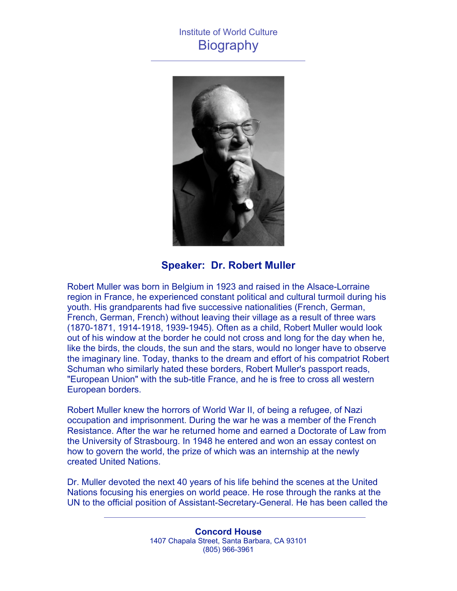## Institute of World Culture **Biography**



**Speaker: Dr. Robert Muller**

Robert Muller was born in Belgium in 1923 and raised in the Alsace-Lorraine region in France, he experienced constant political and cultural turmoil during his youth. His grandparents had five successive nationalities (French, German, French, German, French) without leaving their village as a result of three wars (1870-1871, 1914-1918, 1939-1945). Often as a child, Robert Muller would look out of his window at the border he could not cross and long for the day when he, like the birds, the clouds, the sun and the stars, would no longer have to observe the imaginary line. Today, thanks to the dream and effort of his compatriot Robert Schuman who similarly hated these borders, Robert Muller's passport reads, "European Union" with the sub-title France, and he is free to cross all western European borders.

Robert Muller knew the horrors of World War II, of being a refugee, of Nazi occupation and imprisonment. During the war he was a member of the French Resistance. After the war he returned home and earned a Doctorate of Law from the University of Strasbourg. In 1948 he entered and won an essay contest on how to govern the world, the prize of which was an internship at the newly created United Nations.

Dr. Muller devoted the next 40 years of his life behind the scenes at the United Nations focusing his energies on world peace. He rose through the ranks at the UN to the official position of Assistant-Secretary-General. He has been called the

> **Concord House** 1407 Chapala Street, Santa Barbara, CA 93101 (805) 966-3961